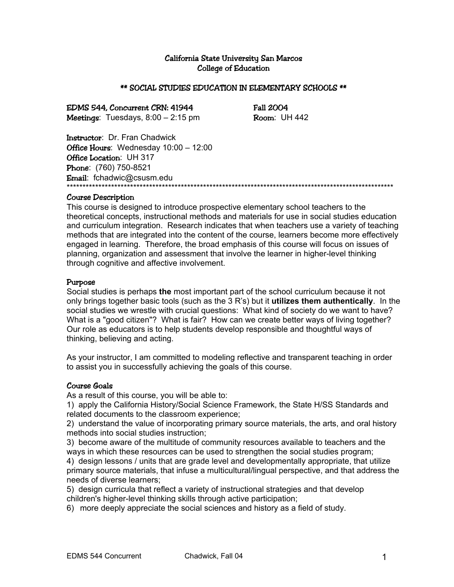#### California State University San Marcos College of Education

#### \*\* SOCIAL STUDIES EDUCATION IN ELEMENTARY SCHOOLS \*\*

EDMS 544, Concurrent CRN: 41944 Fall 2004 Meetings: Tuesdays,  $8:00 - 2:15$  pm  $\frac{1}{2}$  Room: UH 442

Instructor: Dr. Fran Chadwick Office Hours: Wednesday 10:00 - 12:00 Office Location: UH 317 Phone: (760) 750-8521 Email: fchadwic@csusm.edu \*\*\*\*\*\*\*\*\*\*\*\*\*\*\*\*\*\*\*\*\*\*\*\*\*\*\*\*\*\*\*\*\*\*\*\*\*\*\*\*\*\*\*\*\*\*\*\*\*\*\*\*\*\*\*\*\*\*\*\*\*\*\*\*\*\*\*\*\*\*\*\*\*\*\*\*\*\*\*\*\*\*\*\*\*\*\*\*\*\*\*\*\*\*\*\*\*\*\*\*\*\*\*

#### Course Description

This course is designed to introduce prospective elementary school teachers to the theoretical concepts, instructional methods and materials for use in social studies education and curriculum integration. Research indicates that when teachers use a variety of teaching methods that are integrated into the content of the course, learners become more effectively engaged in learning. Therefore, the broad emphasis of this course will focus on issues of planning, organization and assessment that involve the learner in higher-level thinking through cognitive and affective involvement.

#### Purpose

Social studies is perhaps **the** most important part of the school curriculum because it not only brings together basic tools (such as the 3 R's) but it **utilizes them authentically**. In the social studies we wrestle with crucial questions: What kind of society do we want to have? What is a "good citizen"? What is fair? How can we create better ways of living together? Our role as educators is to help students develop responsible and thoughtful ways of thinking, believing and acting.

As your instructor, I am committed to modeling reflective and transparent teaching in order to assist you in successfully achieving the goals of this course.

#### Course Goals

As a result of this course, you will be able to:

1) apply the California History/Social Science Framework, the State H/SS Standards and related documents to the classroom experience;

2) understand the value of incorporating primary source materials, the arts, and oral history methods into social studies instruction;

3) become aware of the multitude of community resources available to teachers and the ways in which these resources can be used to strengthen the social studies program; 4) design lessons / units that are grade level and developmentally appropriate, that utilize primary source materials, that infuse a multicultural/lingual perspective, and that address the needs of diverse learners;

5) design curricula that reflect a variety of instructional strategies and that develop

children's higher-level thinking skills through active participation;

6) more deeply appreciate the social sciences and history as a field of study.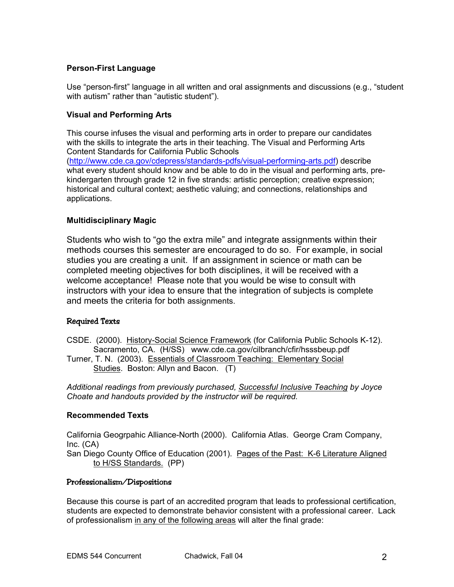## **Person-First Language**

Use "person-first" language in all written and oral assignments and discussions (e.g., "student with autism" rather than "autistic student").

#### **Visual and Performing Arts**

This course infuses the visual and performing arts in order to prepare our candidates with the skills to integrate the arts in their teaching. The Visual and Performing Arts Content Standards for California Public Schools (http://www.cde.ca.gov/cdepress/standards-pdfs/visual-performing-arts.pdf) describe what every student should know and be able to do in the visual and performing arts, prekindergarten through grade 12 in five strands: artistic perception; creative expression; historical and cultural context; aesthetic valuing; and connections, relationships and applications.

#### **Multidisciplinary Magic**

Students who wish to "go the extra mile" and integrate assignments within their methods courses this semester are encouraged to do so. For example, in social studies you are creating a unit. If an assignment in science or math can be completed meeting objectives for both disciplines, it will be received with a welcome acceptance! Please note that you would be wise to consult with instructors with your idea to ensure that the integration of subjects is complete and meets the criteria for both assignments.

## Required Texts

- CSDE. (2000). History-Social Science Framework (for California Public Schools K-12). Sacramento, CA. (H/SS) www.cde.ca.gov/cilbranch/cfir/hsssbeup.pdf
- Turner, T. N. (2003). Essentials of Classroom Teaching: Elementary Social Studies. Boston: Allyn and Bacon. (T)

*Additional readings from previously purchased, Successful Inclusive Teaching by Joyce Choate and handouts provided by the instructor will be required.* 

#### **Recommended Texts**

California Geogrpahic Alliance-North (2000). California Atlas. George Cram Company, Inc. (CA) San Diego County Office of Education (2001). Pages of the Past: K-6 Literature Aligned

#### Professionalism/Dispositions

to H/SS Standards. (PP)

Because this course is part of an accredited program that leads to professional certification, students are expected to demonstrate behavior consistent with a professional career. Lack of professionalism in any of the following areas will alter the final grade: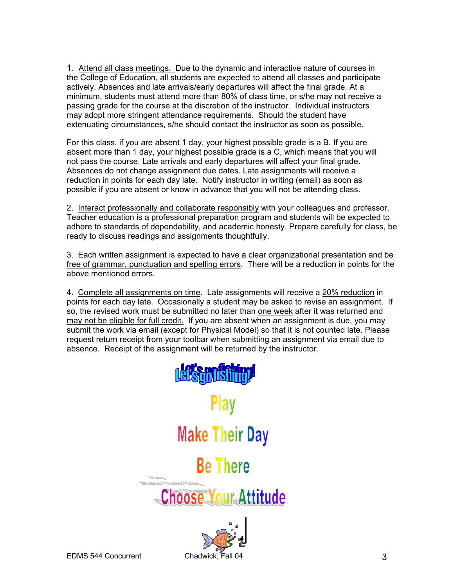1. Attend all class meetings. Due to the dynamic and interactive nature of courses in the College of Education, all students are expected to attend all classes and participate actively. Absences and late arrivals/early departures will affect the final grade. At a minimum, students must attend more than 80% of class time, or s/he may not receive a passing grade for the course at the discretion of the instructor. Individual instructors may adopt more stringent attendance requirements. Should the student have extenuating circumstances, s/he should contact the instructor as soon as possible.

For this class, if you are absent 1 day, your highest possible grade is a B. If you are absent more than 1 day, your highest possible grade is a C, which means that you will not pass the course. Late arrivals and early departures will affect your final grade. Absences do not change assignment due dates. Late assignments will receive a reduction in points for each day late. Notify instructor in writing (email) as soon as possible if you are absent or know in advance that you will not be attending class.

2. Interact professionally and collaborate responsibly with your colleagues and professor. Teacher education is a professional preparation program and students will be expected to adhere to standards of dependability, and academic honesty. Prepare carefully for class, be ready to discuss readings and assignments thoughtfully.

3. Each written assignment is expected to have a clear organizational presentation and be free of grammar, punctuation and spelling errors. There will be a reduction in points for the above mentioned errors.

4. Complete all assignments on time. Late assignments will receive a 20% reduction in points for each day late. Occasionally a student may be asked to revise an assignment. If so, the revised work must be submitted no later than one week after it was returned and may not be eligible for full credit. If you are absent when an assignment is due, you may submit the work via email (except for Physical Model) so that it is not counted late. Please request return receipt from your toolbar when submitting an assignment via email due to absence. Receipt of the assignment will be returned by the instructor.



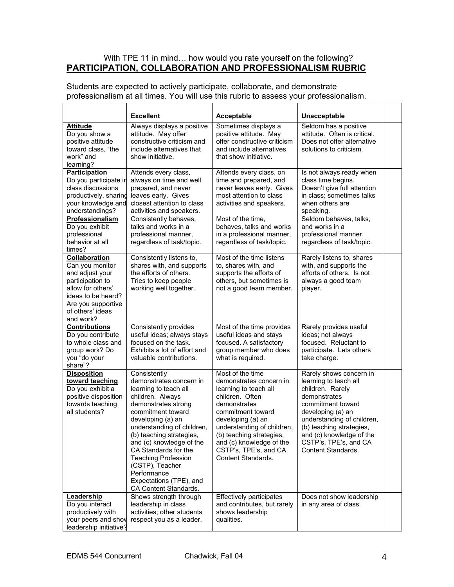#### With TPE 11 in mind… how would you rate yourself on the following? **PARTICIPATION, COLLABORATION AND PROFESSIONALISM RUBRIC**

|                                          | <b>Excellent</b>                         | Acceptable                               | Unacceptable                      |  |
|------------------------------------------|------------------------------------------|------------------------------------------|-----------------------------------|--|
| <b>Attitude</b>                          | Always displays a positive               | Sometimes displays a                     | Seldom has a positive             |  |
| Do you show a                            | attitude. May offer                      | positive attitude. May                   | attitude. Often is critical.      |  |
| positive attitude                        | constructive criticism and               | offer constructive criticism             | Does not offer alternative        |  |
| toward class, "the                       | include alternatives that                | and include alternatives                 | solutions to criticism.           |  |
| work" and                                | show initiative.                         | that show initiative.                    |                                   |  |
| learning?                                |                                          |                                          |                                   |  |
| <b>Participation</b>                     | Attends every class,                     | Attends every class, on                  | Is not always ready when          |  |
| Do you participate in                    | always on time and well                  | time and prepared, and                   | class time begins.                |  |
| class discussions                        | prepared, and never                      | never leaves early. Gives                | Doesn't give full attention       |  |
| productively, sharing                    | leaves early. Gives                      | most attention to class                  | in class; sometimes talks         |  |
| your knowledge and                       | closest attention to class               | activities and speakers.                 | when others are                   |  |
| understandings?                          | activities and speakers.                 |                                          | speaking.                         |  |
| Professionalism                          | Consistently behaves,                    | Most of the time,                        | Seldom behaves, talks,            |  |
| Do you exhibit                           | talks and works in a                     | behaves, talks and works                 | and works in a                    |  |
| professional                             | professional manner,                     | in a professional manner,                | professional manner,              |  |
| behavior at all                          | regardless of task/topic.                | regardless of task/topic.                | regardless of task/topic.         |  |
| times?                                   |                                          |                                          |                                   |  |
| <b>Collaboration</b>                     | Consistently listens to,                 | Most of the time listens                 | Rarely listens to, shares         |  |
| Can you monitor                          | shares with, and supports                | to, shares with, and                     | with, and supports the            |  |
| and adjust your                          | the efforts of others.                   | supports the efforts of                  | efforts of others. Is not         |  |
| participation to                         | Tries to keep people                     | others, but sometimes is                 | always a good team                |  |
| allow for others'                        | working well together.                   | not a good team member.                  | player.                           |  |
| ideas to be heard?                       |                                          |                                          |                                   |  |
| Are you supportive                       |                                          |                                          |                                   |  |
| of others' ideas                         |                                          |                                          |                                   |  |
| and work?                                |                                          |                                          |                                   |  |
| <b>Contributions</b>                     | Consistently provides                    | Most of the time provides                | Rarely provides useful            |  |
| Do you contribute                        | useful ideas; always stays               | useful ideas and stays                   | ideas; not always                 |  |
| to whole class and                       | focused on the task.                     | focused. A satisfactory                  | focused. Reluctant to             |  |
| group work? Do                           | Exhibits a lot of effort and             | group member who does                    | participate. Lets others          |  |
| you "do your                             | valuable contributions.                  | what is required.                        | take charge.                      |  |
| share"?                                  |                                          |                                          |                                   |  |
| <b>Disposition</b>                       | Consistently                             | Most of the time                         | Rarely shows concern in           |  |
| toward teaching                          | demonstrates concern in                  | demonstrates concern in                  | learning to teach all             |  |
| Do you exhibit a                         | learning to teach all                    | learning to teach all<br>children. Often | children. Rarely                  |  |
| positive disposition<br>towards teaching | children. Always                         | demonstrates                             | demonstrates<br>commitment toward |  |
| all students?                            | demonstrates strong<br>commitment toward | commitment toward                        | developing (a) an                 |  |
|                                          | developing (a) an                        | developing (a) an                        | understanding of children,        |  |
|                                          | understanding of children,               | understanding of children,               | (b) teaching strategies,          |  |
|                                          | (b) teaching strategies,                 | (b) teaching strategies,                 | and (c) knowledge of the          |  |
|                                          | and (c) knowledge of the                 | and (c) knowledge of the                 | CSTP's, TPE's, and CA             |  |
|                                          | CA Standards for the                     | CSTP's, TPE's, and CA                    | Content Standards.                |  |
|                                          | <b>Teaching Profession</b>               | Content Standards.                       |                                   |  |
|                                          | (CSTP), Teacher                          |                                          |                                   |  |
|                                          | Performance                              |                                          |                                   |  |
|                                          | Expectations (TPE), and                  |                                          |                                   |  |
|                                          | CA Content Standards.                    |                                          |                                   |  |
| Leadership                               | Shows strength through                   | Effectively participates                 | Does not show leadership          |  |
| Do you interact                          | leadership in class                      | and contributes, but rarely              | in any area of class.             |  |
| productively with                        | activities; other students               | shows leadership                         |                                   |  |
| your peers and shov                      | respect you as a leader.                 | qualities.                               |                                   |  |
| leadership initiative?                   |                                          |                                          |                                   |  |

Students are expected to actively participate, collaborate, and demonstrate professionalism at all times. You will use this rubric to assess your professionalism.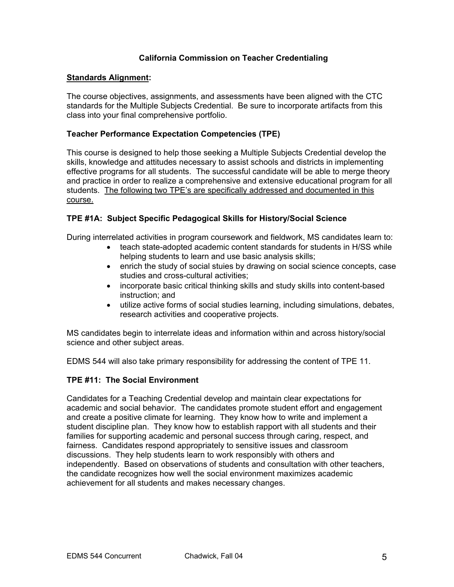## **California Commission on Teacher Credentialing**

#### **Standards Alignment:**

The course objectives, assignments, and assessments have been aligned with the CTC standards for the Multiple Subjects Credential. Be sure to incorporate artifacts from this class into your final comprehensive portfolio.

#### **Teacher Performance Expectation Competencies (TPE)**

This course is designed to help those seeking a Multiple Subjects Credential develop the skills, knowledge and attitudes necessary to assist schools and districts in implementing effective programs for all students. The successful candidate will be able to merge theory and practice in order to realize a comprehensive and extensive educational program for all students. The following two TPE's are specifically addressed and documented in this course.

## **TPE #1A: Subject Specific Pedagogical Skills for History/Social Science**

During interrelated activities in program coursework and fieldwork, MS candidates learn to:

- teach state-adopted academic content standards for students in H/SS while helping students to learn and use basic analysis skills;
- enrich the study of social stuies by drawing on social science concepts, case studies and cross-cultural activities;
- incorporate basic critical thinking skills and study skills into content-based instruction; and
- utilize active forms of social studies learning, including simulations, debates, research activities and cooperative projects.

MS candidates begin to interrelate ideas and information within and across history/social science and other subject areas.

EDMS 544 will also take primary responsibility for addressing the content of TPE 11.

#### **TPE #11: The Social Environment**

Candidates for a Teaching Credential develop and maintain clear expectations for academic and social behavior. The candidates promote student effort and engagement and create a positive climate for learning. They know how to write and implement a student discipline plan. They know how to establish rapport with all students and their families for supporting academic and personal success through caring, respect, and fairness. Candidates respond appropriately to sensitive issues and classroom discussions. They help students learn to work responsibly with others and independently. Based on observations of students and consultation with other teachers, the candidate recognizes how well the social environment maximizes academic achievement for all students and makes necessary changes.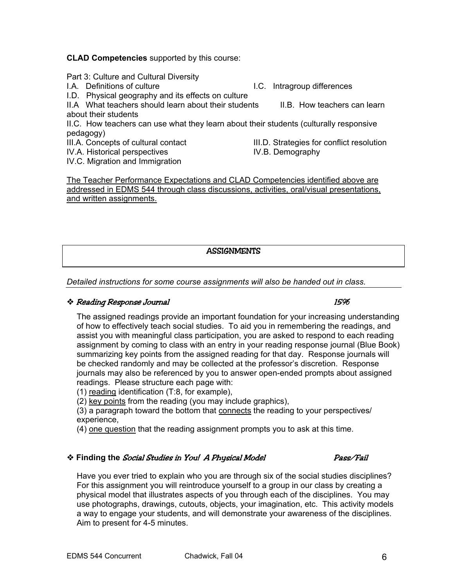#### **CLAD Competencies** supported by this course:

#### Part 3: Culture and Cultural Diversity

- 
- I.D. Physical geography and its effects on culture

II.A What teachers should learn about their students II.B. How teachers can learn about their students

II.C. How teachers can use what they learn about their students (culturally responsive pedagogy)

IV.A. Historical perspectives **IV.B. Demography** 

IV.C. Migration and Immigration

The Teacher Performance Expectations and CLAD Competencies identified above are addressed in EDMS 544 through class discussions, activities, oral/visual presentations, and written assignments.

**ASSIGNMENTS** 

*Detailed instructions for some course assignments will also be handed out in class.* 

## **Example 3** For September 15% and the set of the set of the set of the set of the set of the set of the set of the set of the set of the set of the set of the set of the set of the set of the set of the set of the set of t

The assigned readings provide an important foundation for your increasing understanding of how to effectively teach social studies. To aid you in remembering the readings, and assist you with meaningful class participation, you are asked to respond to each reading assignment by coming to class with an entry in your reading response journal (Blue Book) summarizing key points from the assigned reading for that day. Response journals will be checked randomly and may be collected at the professor's discretion. Response journals may also be referenced by you to answer open-ended prompts about assigned readings. Please structure each page with:

(1) reading identification (T:8, for example),

(2) key points from the reading (you may include graphics),

(3) a paragraph toward the bottom that connects the reading to your perspectives/ experience,

(4) one question that the reading assignment prompts you to ask at this time.

# \* Finding the *Social Studies in You! A Physical Model* Pass/Fail

Have you ever tried to explain who you are through six of the social studies disciplines? For this assignment you will reintroduce yourself to a group in our class by creating a physical model that illustrates aspects of you through each of the disciplines. You may use photographs, drawings, cutouts, objects, your imagination, etc. This activity models a way to engage your students, and will demonstrate your awareness of the disciplines. Aim to present for 4-5 minutes.

III.A. Concepts of cultural contact III.D. Strategies for conflict resolution

I.A. Definitions of culture I.C. Intragroup differences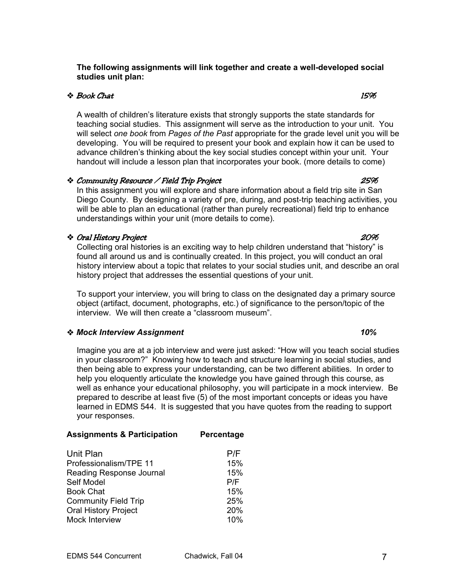#### **The following assignments will link together and create a well-developed social studies unit plan:**

## $\bullet$  Book Chat  $15\%$

A wealth of children's literature exists that strongly supports the state standards for teaching social studies. This assignment will serve as the introduction to your unit. You will select *one book* from *Pages of the Past* appropriate for the grade level unit you will be developing. You will be required to present your book and explain how it can be used to advance children's thinking about the key social studies concept within your unit. Your handout will include a lesson plan that incorporates your book. (more details to come)

## Community Resource / Field Trip Project 25%

In this assignment you will explore and share information about a field trip site in San Diego County. By designing a variety of pre, during, and post-trip teaching activities, you will be able to plan an educational (rather than purely recreational) field trip to enhance understandings within your unit (more details to come).

#### Oral History Project 20%

Collecting oral histories is an exciting way to help children understand that "history" is found all around us and is continually created. In this project, you will conduct an oral history interview about a topic that relates to your social studies unit, and describe an oral history project that addresses the essential questions of your unit.

To support your interview, you will bring to class on the designated day a primary source object (artifact, document, photographs, etc.) of significance to the person/topic of the interview. We will then create a "classroom museum".

# *Mock Interview Assignment* 10%

Imagine you are at a job interview and were just asked: "How will you teach social studies in your classroom?" Knowing how to teach and structure learning in social studies, and then being able to express your understanding, can be two different abilities. In order to help you eloquently articulate the knowledge you have gained through this course, as well as enhance your educational philosophy, you will participate in a mock interview. Be prepared to describe at least five (5) of the most important concepts or ideas you have learned in EDMS 544. It is suggested that you have quotes from the reading to support your responses.

| <b>Assignments &amp; Participation</b> | Percentage |
|----------------------------------------|------------|
| Unit Plan                              | P/F        |
| Professionalism/TPE 11                 | 15%        |
| Reading Response Journal               | 15%        |
| Self Model                             | P/F        |
| <b>Book Chat</b>                       | 15%        |
| <b>Community Field Trip</b>            | 25%        |
| <b>Oral History Project</b>            | 20%        |
| Mock Interview                         | 10%        |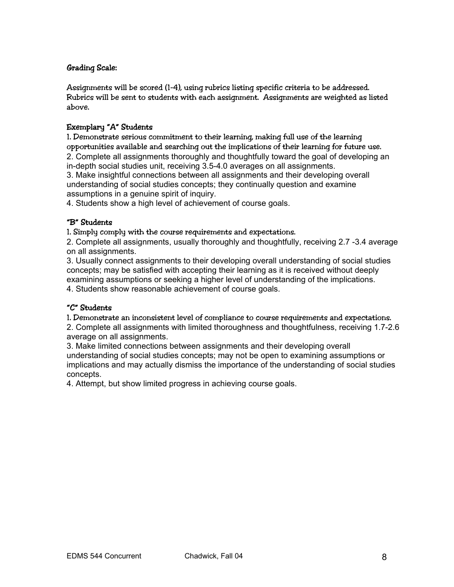## Grading Scale:

Assignments will be scored (1-4), using rubrics listing specific criteria to be addressed. Rubrics will be sent to students with each assignment. Assignments are weighted as listed above.

## Exemplary "A" Students

1. Demonstrate serious commitment to their learning, making full use of the learning opportunities available and searching out the implications of their learning for future use. 2. Complete all assignments thoroughly and thoughtfully toward the goal of developing an

in-depth social studies unit, receiving 3.5-4.0 averages on all assignments.

3. Make insightful connections between all assignments and their developing overall understanding of social studies concepts; they continually question and examine assumptions in a genuine spirit of inquiry.

4. Students show a high level of achievement of course goals.

## "B" Students

1. Simply comply with the course requirements and expectations.

2. Complete all assignments, usually thoroughly and thoughtfully, receiving 2.7 -3.4 average on all assignments.

3. Usually connect assignments to their developing overall understanding of social studies concepts; may be satisfied with accepting their learning as it is received without deeply examining assumptions or seeking a higher level of understanding of the implications.

4. Students show reasonable achievement of course goals.

## "C" Students

1. Demonstrate an inconsistent level of compliance to course requirements and expectations. 2. Complete all assignments with limited thoroughness and thoughtfulness, receiving 1.7-2.6 average on all assignments.

3. Make limited connections between assignments and their developing overall understanding of social studies concepts; may not be open to examining assumptions or implications and may actually dismiss the importance of the understanding of social studies concepts.

4. Attempt, but show limited progress in achieving course goals.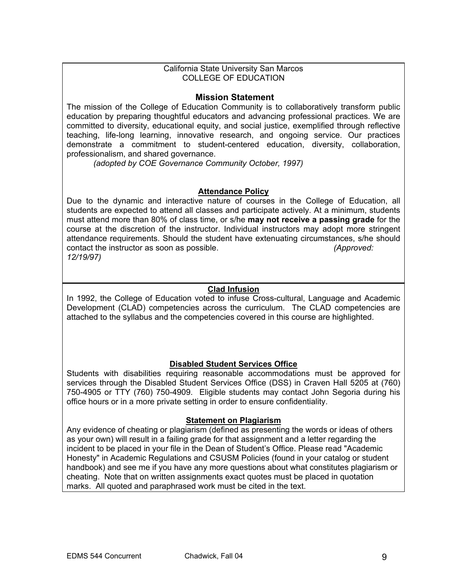#### California State University San Marcos COLLEGE OF EDUCATION

## **Mission Statement**

The mission of the College of Education Community is to collaboratively transform public education by preparing thoughtful educators and advancing professional practices. We are committed to diversity, educational equity, and social justice, exemplified through reflective teaching, life-long learning, innovative research, and ongoing service. Our practices demonstrate a commitment to student-centered education, diversity, collaboration, professionalism, and shared governance.

*(adopted by COE Governance Community October, 1997)*

## **Attendance Policy**

Due to the dynamic and interactive nature of courses in the College of Education, all students are expected to attend all classes and participate actively. At a minimum, students must attend more than 80% of class time, or s/he **may not receive a passing grade** for the course at the discretion of the instructor. Individual instructors may adopt more stringent attendance requirements. Should the student have extenuating circumstances, s/he should contact the instructor as soon as possible. *(Approved: 12/19/97)* 

## **Clad Infusion**

In 1992, the College of Education voted to infuse Cross-cultural, Language and Academic Development (CLAD) competencies across the curriculum. The CLAD competencies are attached to the syllabus and the competencies covered in this course are highlighted.

## **Disabled Student Services Office**

Students with disabilities requiring reasonable accommodations must be approved for services through the Disabled Student Services Office (DSS) in Craven Hall 5205 at (760) 750-4905 or TTY (760) 750-4909. Eligible students may contact John Segoria during his office hours or in a more private setting in order to ensure confidentiality.

#### **Statement on Plagiarism**

Any evidence of cheating or plagiarism (defined as presenting the words or ideas of others as your own) will result in a failing grade for that assignment and a letter regarding the incident to be placed in your file in the Dean of Student's Office. Please read "Academic Honesty" in Academic Regulations and CSUSM Policies (found in your catalog or student handbook) and see me if you have any more questions about what constitutes plagiarism or cheating. Note that on written assignments exact quotes must be placed in quotation marks. All quoted and paraphrased work must be cited in the text.